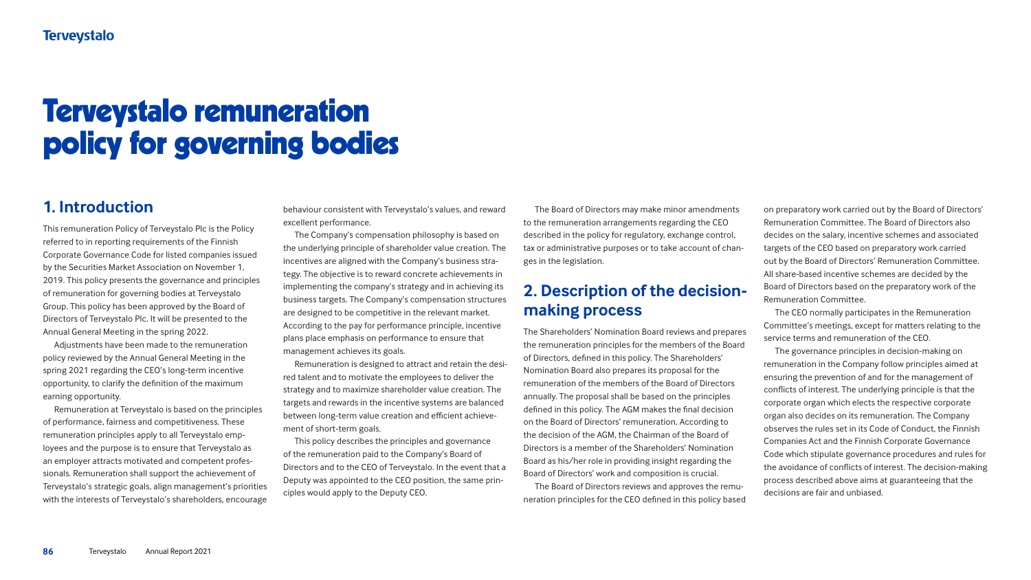# **1. Introduction**

This remuneration Policy of Terveystalo Plc is the Policy referred to in reporting requirements of the Finnish Corporate Governance Code for listed companies issued by the Securities Market Association on November 1, 2019. This policy presents the governance and principles of remuneration for governing bodies at Terveystalo Group. This policy has been approved by the Board of Directors of Terveystalo Plc. It will be presented to the Annual General Meeting in the spring 2022.

Adjustments have been made to the remuneration policy reviewed by the Annual General Meeting in the spring 2021 regarding the CEO's long-term incentive opportunity, to clarify the definition of the maximum earning opportunity.

Remuneration at Terveystalo is based on the principles of performance, fairness and competitiveness. These remuneration principles apply to all Terveystalo employees and the purpose is to ensure that Terveystalo as an employer attracts motivated and competent professionals. Remuneration shall support the achievement of Terveystalo's strategic goals, align management's priorities with the interests of Terveystalo's shareholders, encourage

# **Terveystalo**

# Terveystalo remuneration policy for governing bodies

behaviour consistent with Terveystalo's values, and reward excellent performance.

The Company's compensation philosophy is based on the underlying principle of shareholder value creation. The incentives are aligned with the Company's business strategy. The objective is to reward concrete achievements in implementing the company's strategy and in achieving its business targets. The Company's compensation structures are designed to be competitive in the relevant market. According to the pay for performance principle, incentive plans place emphasis on performance to ensure that management achieves its goals.

Remuneration is designed to attract and retain the desired talent and to motivate the employees to deliver the strategy and to maximize shareholder value creation. The targets and rewards in the incentive systems are balanced between long-term value creation and efficient achievement of short-term goals.

This policy describes the principles and governance of the remuneration paid to the Company's Board of Directors and to the CEO of Terveystalo. In the event that a Deputy was appointed to the CEO position, the same principles would apply to the Deputy CEO.

The Board of Directors may make minor amendments to the remuneration arrangements regarding the CEO described in the policy for regulatory, exchange control, tax or administrative purposes or to take account of changes in the legislation.

# **2. Description of the decisionmaking process**

The Shareholders' Nomination Board reviews and prepares the remuneration principles for the members of the Board of Directors, defined in this policy. The Shareholders' Nomination Board also prepares its proposal for the remuneration of the members of the Board of Directors annually. The proposal shall be based on the principles defined in this policy. The AGM makes the final decision on the Board of Directors' remuneration. According to the decision of the AGM, the Chairman of the Board of Directors is a member of the Shareholders' Nomination Board as his/her role in providing insight regarding the Board of Directors' work and composition is crucial.

The Board of Directors reviews and approves the remuneration principles for the CEO defined in this policy based on preparatory work carried out by the Board of Directors' Remuneration Committee. The Board of Directors also decides on the salary, incentive schemes and associated targets of the CEO based on preparatory work carried out by the Board of Directors' Remuneration Committee. All share-based incentive schemes are decided by the Board of Directors based on the preparatory work of the Remuneration Committee.

The CEO normally participates in the Remuneration Committee's meetings, except for matters relating to the service terms and remuneration of the CEO.

The governance principles in decision-making on remuneration in the Company follow principles aimed at ensuring the prevention of and for the management of conflicts of interest. The underlying principle is that the corporate organ which elects the respective corporate organ also decides on its remuneration. The Company observes the rules set in its Code of Conduct, the Finnish Companies Act and the Finnish Corporate Governance Code which stipulate governance procedures and rules for the avoidance of conflicts of interest. The decision-making process described above aims at guaranteeing that the decisions are fair and unbiased.

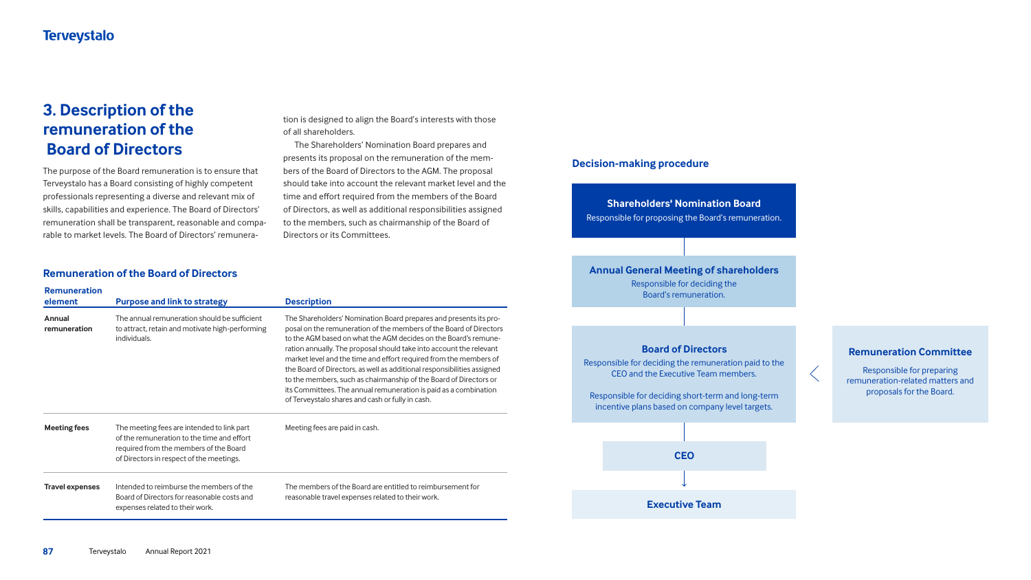# **3. Description of the remuneration of the Board of Directors**

The purpose of the Board remuneration is to ensure that Terveystalo has a Board consisting of highly competent professionals representing a diverse and relevant mix of skills, capabilities and experience. The Board of Directors' remuneration shall be transparent, reasonable and comparable to market levels. The Board of Directors' remunera-

## **Shareholders' Nomination Board**

Responsible for proposing the Board's remuneration.

#### **Decision-making procedure**

Responsible for deciding the Board's remuneration.

Responsible for deciding the remuneration paid to the CEO and the Executive Team members.

Responsible for deciding short-term and long-term incentive plans based on company level targets.



# **Board of Directors Remuneration Committee**

Responsible for preparing remuneration-related matters and proposals for the Board.



#### **Annual General Meeting of shareholders**

## **Remuneration of the Board of Directors**

| <b>Remuneration</b><br>element | <b>Purpose and link to strategy</b>                                                                                                                                            | <b>Description</b>                                                                                                                                                                                                                                                                                                                                                                                                                                                                                                                                                                                                             |
|--------------------------------|--------------------------------------------------------------------------------------------------------------------------------------------------------------------------------|--------------------------------------------------------------------------------------------------------------------------------------------------------------------------------------------------------------------------------------------------------------------------------------------------------------------------------------------------------------------------------------------------------------------------------------------------------------------------------------------------------------------------------------------------------------------------------------------------------------------------------|
| <b>Annual</b><br>remuneration  | The annual remuneration should be sufficient<br>to attract, retain and motivate high-performing<br>individuals.                                                                | The Shareholders' Nomination Board prepares and presents its pro-<br>posal on the remuneration of the members of the Board of Directors<br>to the AGM based on what the AGM decides on the Board's remune-<br>ration annually. The proposal should take into account the relevant<br>market level and the time and effort required from the members of<br>the Board of Directors, as well as additional responsibilities assigned<br>to the members, such as chairmanship of the Board of Directors or<br>its Committees. The annual remuneration is paid as a combination<br>of Terveystalo shares and cash or fully in cash. |
| <b>Meeting fees</b>            | The meeting fees are intended to link part<br>of the remuneration to the time and effort<br>required from the members of the Board<br>of Directors in respect of the meetings. | Meeting fees are paid in cash.                                                                                                                                                                                                                                                                                                                                                                                                                                                                                                                                                                                                 |
| <b>Travel expenses</b>         | Intended to reimburse the members of the<br>Board of Directors for reasonable costs and<br>expenses related to their work.                                                     | The members of the Board are entitled to reimbursement for<br>reasonable travel expenses related to their work.                                                                                                                                                                                                                                                                                                                                                                                                                                                                                                                |

tion is designed to align the Board's interests with those of all shareholders.

The Shareholders' Nomination Board prepares and presents its proposal on the remuneration of the members of the Board of Directors to the AGM. The proposal should take into account the relevant market level and the time and effort required from the members of the Board of Directors, as well as additional responsibilities assigned to the members, such as chairmanship of the Board of Directors or its Committees.

- 
- 
- 
- 
- 
- 
- 

# signed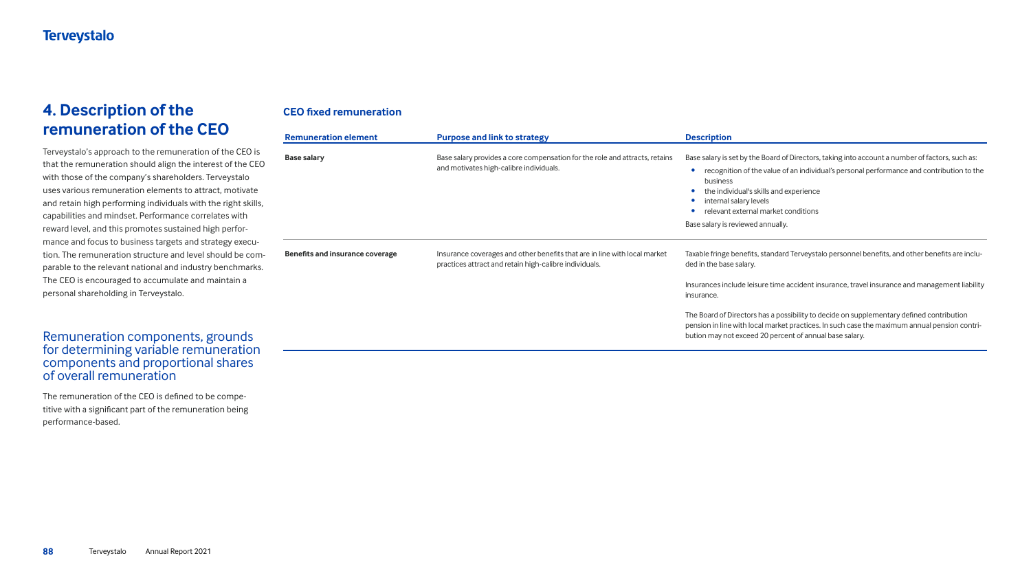# **4. Description of the remuneration of the CEO**

Terveystalo's approach to the remuneration of the CEO is that the remuneration should align the interest of the CEO with those of the company's shareholders. Terveystalo uses various remuneration elements to attract, motivate and retain high performing individuals with the right skills, capabilities and mindset. Performance correlates with reward level, and this promotes sustained high performance and focus to business targets and strategy execution. The remuneration structure and level should be comparable to the relevant national and industry benchmarks. The CEO is encouraged to accumulate and maintain a personal shareholding in Terveystalo.

# Remuneration components, grounds for determining variable remuneration components and proportional shares of overall remuneration

The remuneration of the CEO is defined to be competitive with a significant part of the remuneration being performance-based.

# **CEO fixed remuneration**

| <b>Remuneration element</b>            | <b>Purpose and link to strategy</b>                                                                                                 | <b>Description</b>                                                                                                                                                                                                                                                                                                                                      |
|----------------------------------------|-------------------------------------------------------------------------------------------------------------------------------------|---------------------------------------------------------------------------------------------------------------------------------------------------------------------------------------------------------------------------------------------------------------------------------------------------------------------------------------------------------|
| <b>Base salary</b>                     | Base salary provides a core compensation for the role and attracts, retains<br>and motivates high-calibre individuals.              | Base salary is set by the Board of Directors, taking into account a number of factors, such as:<br>recognition of the value of an individual's personal performance and contribution to the<br>business<br>the individual's skills and experience<br>internal salary levels<br>relevant external market conditions<br>Base salary is reviewed annually. |
| <b>Benefits and insurance coverage</b> | Insurance coverages and other benefits that are in line with local market<br>practices attract and retain high-calibre individuals. | Taxable fringe benefits, standard Terveystalo personnel benefits, and other benefits are inclu-<br>ded in the base salary.                                                                                                                                                                                                                              |
|                                        |                                                                                                                                     | Insurances include leisure time accident insurance, travel insurance and management liability<br>insurance.                                                                                                                                                                                                                                             |
|                                        |                                                                                                                                     | The Board of Directors has a possibility to decide on supplementary defined contribution<br>pension in line with local market practices. In such case the maximum annual pension contri-<br>bution may not exceed 20 percent of annual base salary.                                                                                                     |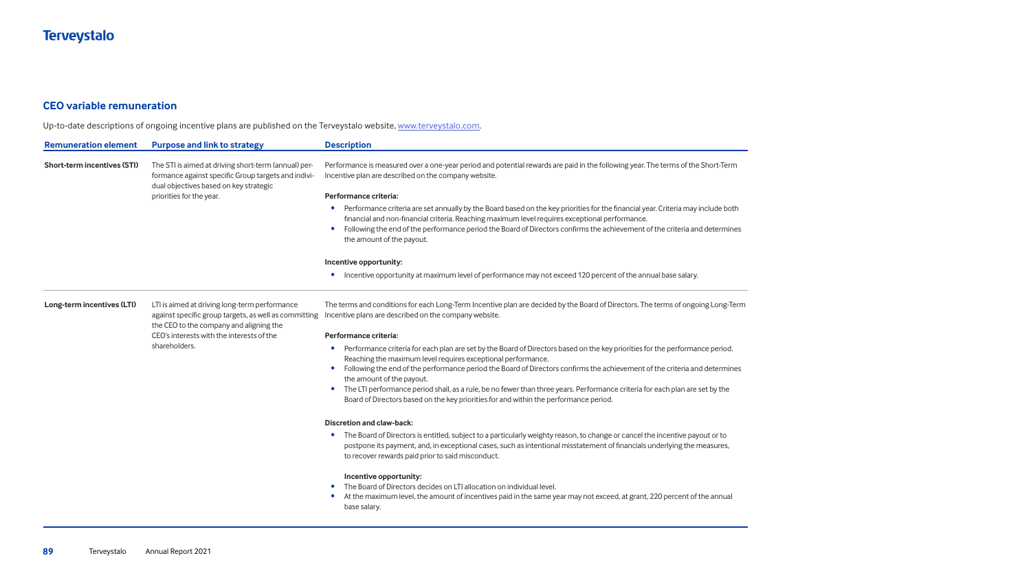## **CEO variable remuneration**

Up-to-date descriptions of ongoing incentive plans are published on the Terveystalo website, [www.terveystalo.com](http://www.terveystalo.com).

| <b>Remuneration element</b>        | <b>Purpose and link to strategy</b>                                                                                                                                               | <b>Description</b>                                                                                                                                                                                                                                                                              |
|------------------------------------|-----------------------------------------------------------------------------------------------------------------------------------------------------------------------------------|-------------------------------------------------------------------------------------------------------------------------------------------------------------------------------------------------------------------------------------------------------------------------------------------------|
| <b>Short-term incentives (STI)</b> | The STI is aimed at driving short-term (annual) per-<br>formance against specific Group targets and indivi-<br>dual objectives based on key strategic<br>priorities for the year. | Performance is measured over a one-year period and p<br>Incentive plan are described on the company website.                                                                                                                                                                                    |
|                                    |                                                                                                                                                                                   | Performance criteria:                                                                                                                                                                                                                                                                           |
|                                    |                                                                                                                                                                                   | Performance criteria are set annually by the Boar<br>financial and non-financial criteria. Reaching max<br>Following the end of the performance period the<br>the amount of the payout.                                                                                                         |
|                                    |                                                                                                                                                                                   | Incentive opportunity:                                                                                                                                                                                                                                                                          |
|                                    |                                                                                                                                                                                   | Incentive opportunity at maximum level of perfo                                                                                                                                                                                                                                                 |
| Long-term incentives (LTI)         | LTI is aimed at driving long-term performance<br>against specific group targets, as well as committing<br>the CEO to the company and aligning the                                 | The terms and conditions for each Long-Term Incentive<br>Incentive plans are described on the company website.                                                                                                                                                                                  |
|                                    | CEO's interests with the interests of the                                                                                                                                         | Performance criteria:                                                                                                                                                                                                                                                                           |
|                                    | shareholders.                                                                                                                                                                     | Performance criteria for each plan are set by the<br>Reaching the maximum level requires exceptiona<br>Following the end of the performance period the<br>the amount of the payout.<br>The LTI performance period shall, as a rule, be no<br>Board of Directors based on the key priorities for |
|                                    |                                                                                                                                                                                   | <b>Discretion and claw-back:</b>                                                                                                                                                                                                                                                                |
|                                    |                                                                                                                                                                                   | The Board of Directors is entitled, subject to a par<br>postpone its payment, and, in exceptional cases,<br>to recover rewards paid prior to said misconduct.                                                                                                                                   |
|                                    |                                                                                                                                                                                   | Incentive opportunity:<br>The Board of Directors decides on LTI allocation of<br>At the maximum level, the amount of incentives<br>base salary.                                                                                                                                                 |

and potential rewards are paid in the following year. The terms of the Short-Term

 $e$  Board based on the key priorities for the financial year. Criteria may include both g maximum level requires exceptional performance.

d the Board of Directors confirms the achievement of the criteria and determines

performance may not exceed 120 percent of the annual base salary.

entive plan are decided by the Board of Directors. The terms of ongoing Long-Term

y the Board of Directors based on the key priorities for the performance period. ptional performance.

I the Board of Directors confirms the achievement of the criteria and determines

be no fewer than three years. Performance criteria for each plan are set by the s for and within the performance period.

 $\alpha$  a particularly weighty reason, to change or cancel the incentive payout or to ases, such as intentional misstatement of financials underlying the measures,

tion on individual level. tives paid in the same year may not exceed, at grant, 220 percent of the annual